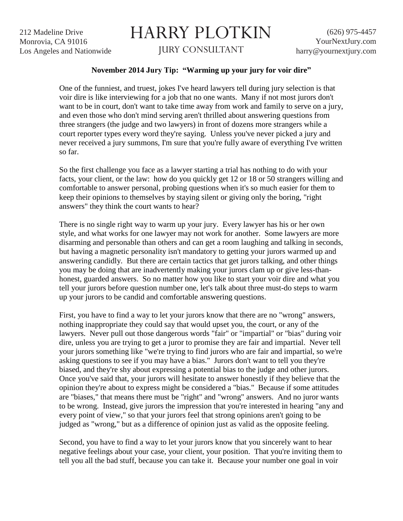212 Madeline Drive Monrovia, CA 91016 Los Angeles and Nationwide

## HARRY PLOTKIN

JURY CONSULTANT

## **November 2014 Jury Tip: "Warming up your jury for voir dire"**

One of the funniest, and truest, jokes I've heard lawyers tell during jury selection is that voir dire is like interviewing for a job that no one wants. Many if not most jurors don't want to be in court, don't want to take time away from work and family to serve on a jury, and even those who don't mind serving aren't thrilled about answering questions from three strangers (the judge and two lawyers) in front of dozens more strangers while a court reporter types every word they're saying. Unless you've never picked a jury and never received a jury summons, I'm sure that you're fully aware of everything I've written so far.

So the first challenge you face as a lawyer starting a trial has nothing to do with your facts, your client, or the law: how do you quickly get 12 or 18 or 50 strangers willing and comfortable to answer personal, probing questions when it's so much easier for them to keep their opinions to themselves by staying silent or giving only the boring, "right answers" they think the court wants to hear?

There is no single right way to warm up your jury. Every lawyer has his or her own style, and what works for one lawyer may not work for another. Some lawyers are more disarming and personable than others and can get a room laughing and talking in seconds, but having a magnetic personality isn't mandatory to getting your jurors warmed up and answering candidly. But there are certain tactics that get jurors talking, and other things you may be doing that are inadvertently making your jurors clam up or give less-thanhonest, guarded answers. So no matter how you like to start your voir dire and what you tell your jurors before question number one, let's talk about three must-do steps to warm up your jurors to be candid and comfortable answering questions.

First, you have to find a way to let your jurors know that there are no "wrong" answers, nothing inappropriate they could say that would upset you, the court, or any of the lawyers. Never pull out those dangerous words "fair" or "impartial" or "bias" during voir dire, unless you are trying to get a juror to promise they are fair and impartial. Never tell your jurors something like "we're trying to find jurors who are fair and impartial, so we're asking questions to see if you may have a bias." Jurors don't want to tell you they're biased, and they're shy about expressing a potential bias to the judge and other jurors. Once you've said that, your jurors will hesitate to answer honestly if they believe that the opinion they're about to express might be considered a "bias." Because if some attitudes are "biases," that means there must be "right" and "wrong" answers. And no juror wants to be wrong. Instead, give jurors the impression that you're interested in hearing "any and every point of view," so that your jurors feel that strong opinions aren't going to be judged as "wrong," but as a difference of opinion just as valid as the opposite feeling.

Second, you have to find a way to let your jurors know that you sincerely want to hear negative feelings about your case, your client, your position. That you're inviting them to tell you all the bad stuff, because you can take it. Because your number one goal in voir